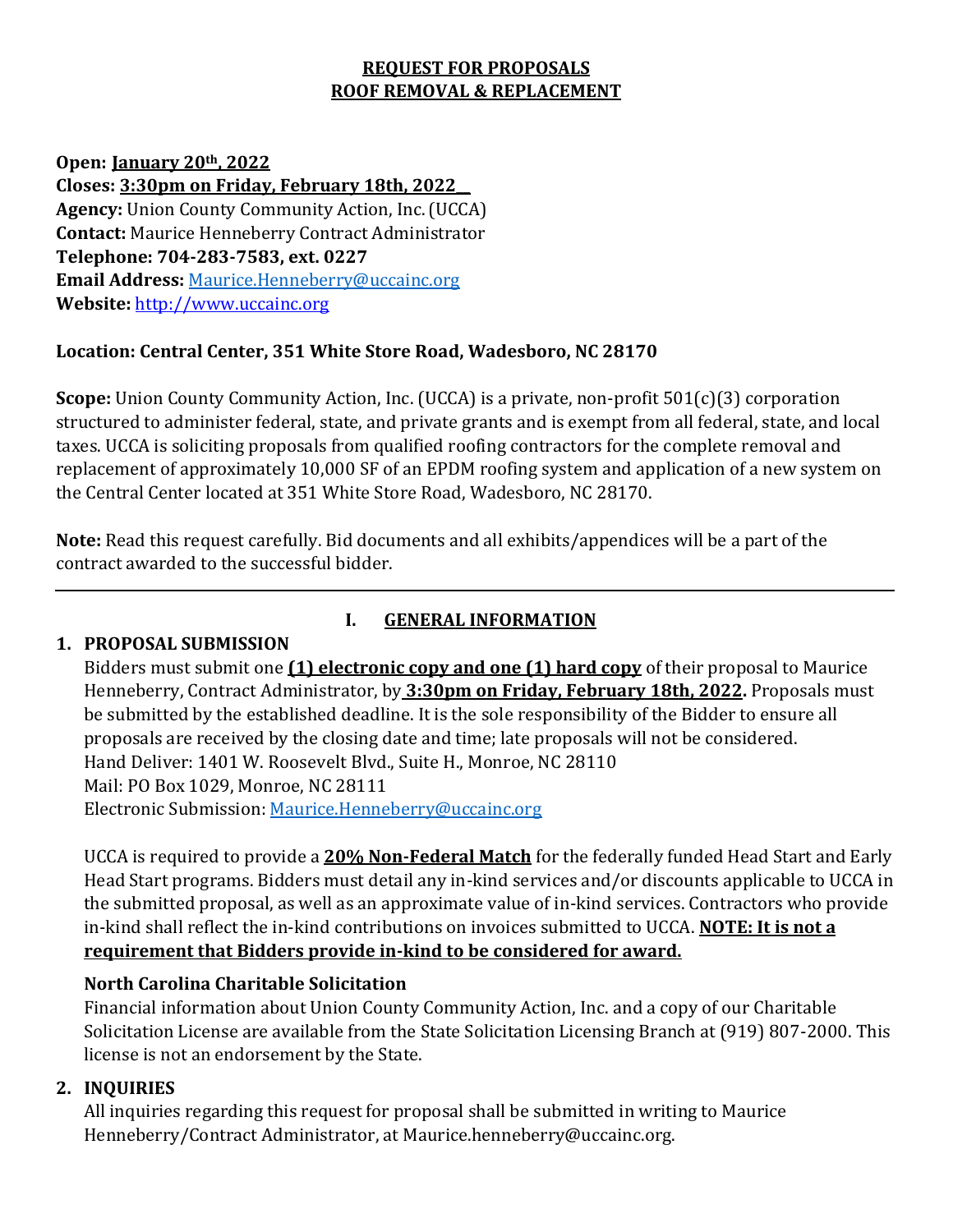# **REQUEST FOR PROPOSALS ROOF REMOVAL & REPLACEMENT**

**Open: January 20th, 2022 Closes: 3:30pm on Friday, February 18th, 2022\_\_ Agency:** Union County Community Action, Inc.(UCCA) **Contact:** Maurice Henneberry Contract Administrator **Telephone: 704-283-7583, ext. 0227 Email Address:** [Maurice.Henneberry@uccainc.org](mailto:Maurice.Henneberry@uccainc.org) **Website:** http://www.uccainc.org

## **Location: Central Center, 351 White Store Road, Wadesboro, NC 28170**

**Scope:** Union County Community Action, Inc. (UCCA) is a private, non-profit 501(c)(3) corporation structured to administer federal, state, and private grants and is exempt from all federal, state, and local taxes. UCCA is soliciting proposals from qualified roofing contractors for the complete removal and replacement of approximately 10,000 SF of an EPDM roofing system and application of a new system on the Central Center located at 351 White Store Road, Wadesboro, NC 28170.

**Note:** Read this request carefully. Bid documents and all exhibits/appendices will be a part of the contract awarded to the successful bidder.

### **1. PROPOSAL SUBMISSION**

# **I. GENERAL INFORMATION**

Bidders must submit one **(1) electronic copy and one (1) hard copy** of their proposal to Maurice Henneberry, Contract Administrator, by **3:30pm on Friday, February 18th, 2022.** Proposals must be submitted by the established deadline. It is the sole responsibility of the Bidder to ensure all proposals are received by the closing date and time; late proposals will not be considered. Hand Deliver: 1401 W. Roosevelt Blvd., Suite H., Monroe, NC 28110 Mail: PO Box 1029, Monroe, NC 28111 Electronic Submission[: Maurice.Henneberry@uccainc.org](mailto:Maurice.Henneberry@uccainc.org)

UCCA is required to provide a **20% Non-Federal Match** for the federally funded Head Start and Early Head Start programs. Bidders must detail any in-kind services and/or discounts applicable to UCCA in the submitted proposal, as well as an approximate value of in-kind services. Contractors who provide in-kind shall reflect the in-kind contributions on invoices submitted to UCCA. **NOTE: It is not a requirement that Bidders provide in-kind to be considered for award.**

# **North Carolina Charitable Solicitation**

Financial information about Union County Community Action, Inc. and a copy of our Charitable Solicitation License are available from the State Solicitation Licensing Branch at (919) 807-2000. This license is not an endorsement by the State.

# **2. INQUIRIES**

All inquiries regarding this request for proposal shall be submitted in writing to Maurice Henneberry/Contract Administrator, at Maurice.henneberry@uccainc.org.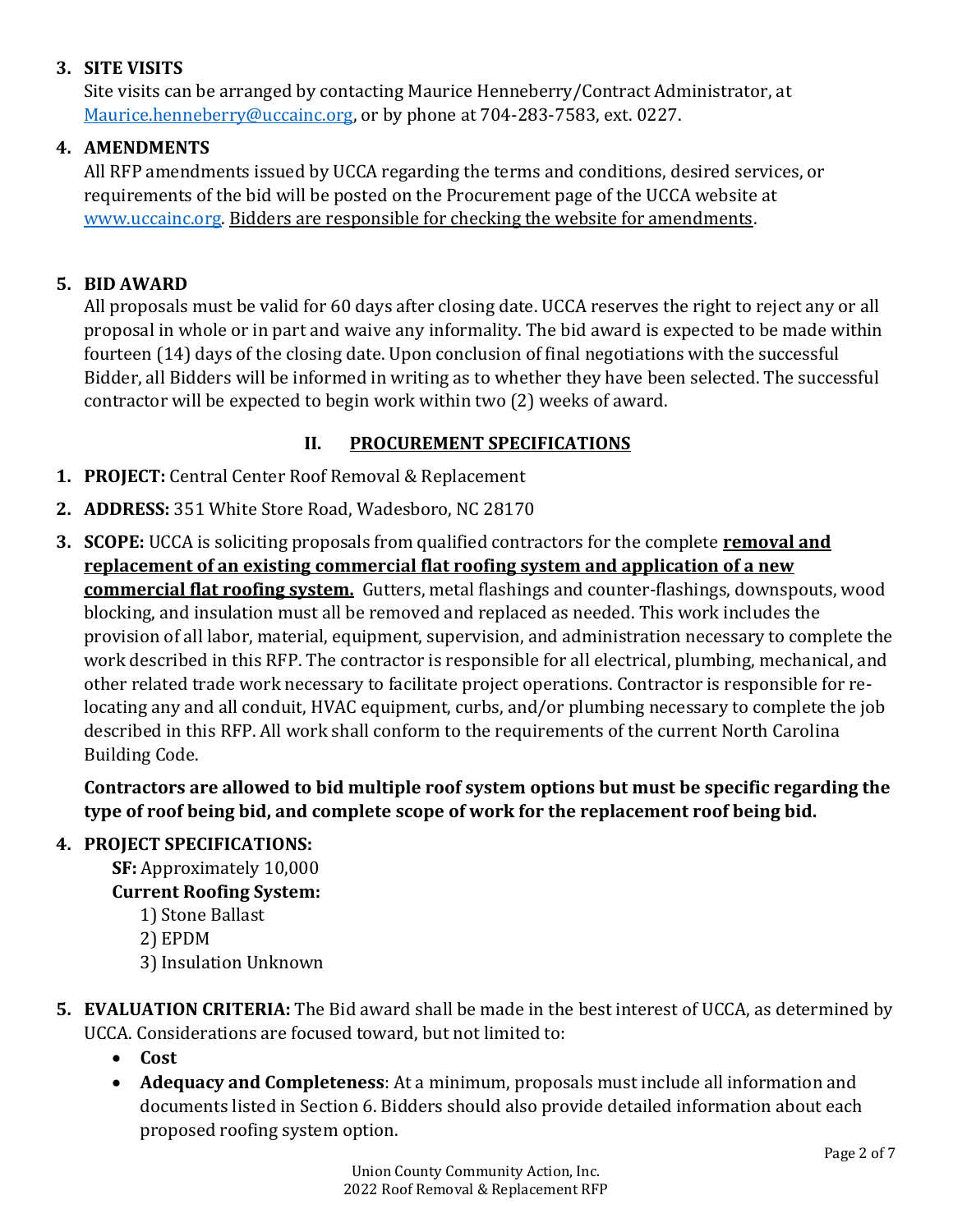## **3. SITE VISITS**

Site visits can be arranged by contacting Maurice Henneberry/Contract Administrator, at [Maurice.henneberry@uccainc.org,](mailto:Maurice.henneberry@uccainc.org) or by phone at 704-283-7583, ext. 0227.

## **4. AMENDMENTS**

All RFP amendments issued by UCCA regarding the terms and conditions, desired services, or requirements of the bid will be posted on the Procurement page of the UCCA website at [www.uccainc.org.](http://www.uccainc.org/) Bidders are responsible for checking the website for amendments.

## **5. BID AWARD**

All proposals must be valid for 60 days after closing date. UCCA reserves the right to reject any or all proposal in whole or in part and waive any informality. The bid award is expected to be made within fourteen (14) days of the closing date. Upon conclusion of final negotiations with the successful Bidder, all Bidders will be informed in writing as to whether they have been selected. The successful contractor will be expected to begin work within two (2) weeks of award.

# **II. PROCUREMENT SPECIFICATIONS**

- **1. PROJECT:** Central Center Roof Removal & Replacement
- **2. ADDRESS:** 351 White Store Road, Wadesboro, NC 28170
- **3. SCOPE:** UCCA is soliciting proposals from qualified contractors for the complete **removal and replacement of an existing commercial flat roofing system and application of a new commercial flat roofing system.** Gutters, metal flashings and counter-flashings, downspouts, wood blocking, and insulation must all be removed and replaced as needed. This work includes the provision of all labor, material, equipment, supervision, and administration necessary to complete the work described in this RFP. The contractor is responsible for all electrical, plumbing, mechanical, and other related trade work necessary to facilitate project operations. Contractor is responsible for relocating any and all conduit, HVAC equipment, curbs, and/or plumbing necessary to complete the job described in this RFP. All work shall conform to the requirements of the current North Carolina Building Code.

**Contractors are allowed to bid multiple roof system options but must be specific regarding the type of roof being bid, and complete scope of work for the replacement roof being bid.** 

### **4. PROJECT SPECIFICATIONS:**

**SF:** Approximately 10,000

### **Current Roofing System:**

- 1) Stone Ballast
- 2) EPDM
- 3) Insulation Unknown
- **5. EVALUATION CRITERIA:** The Bid award shall be made in the best interest of UCCA, as determined by UCCA. Considerations are focused toward, but not limited to:
	- **Cost**
	- **Adequacy and Completeness**: At a minimum, proposals must include all information and documents listed in Section 6. Bidders should also provide detailed information about each proposed roofing system option.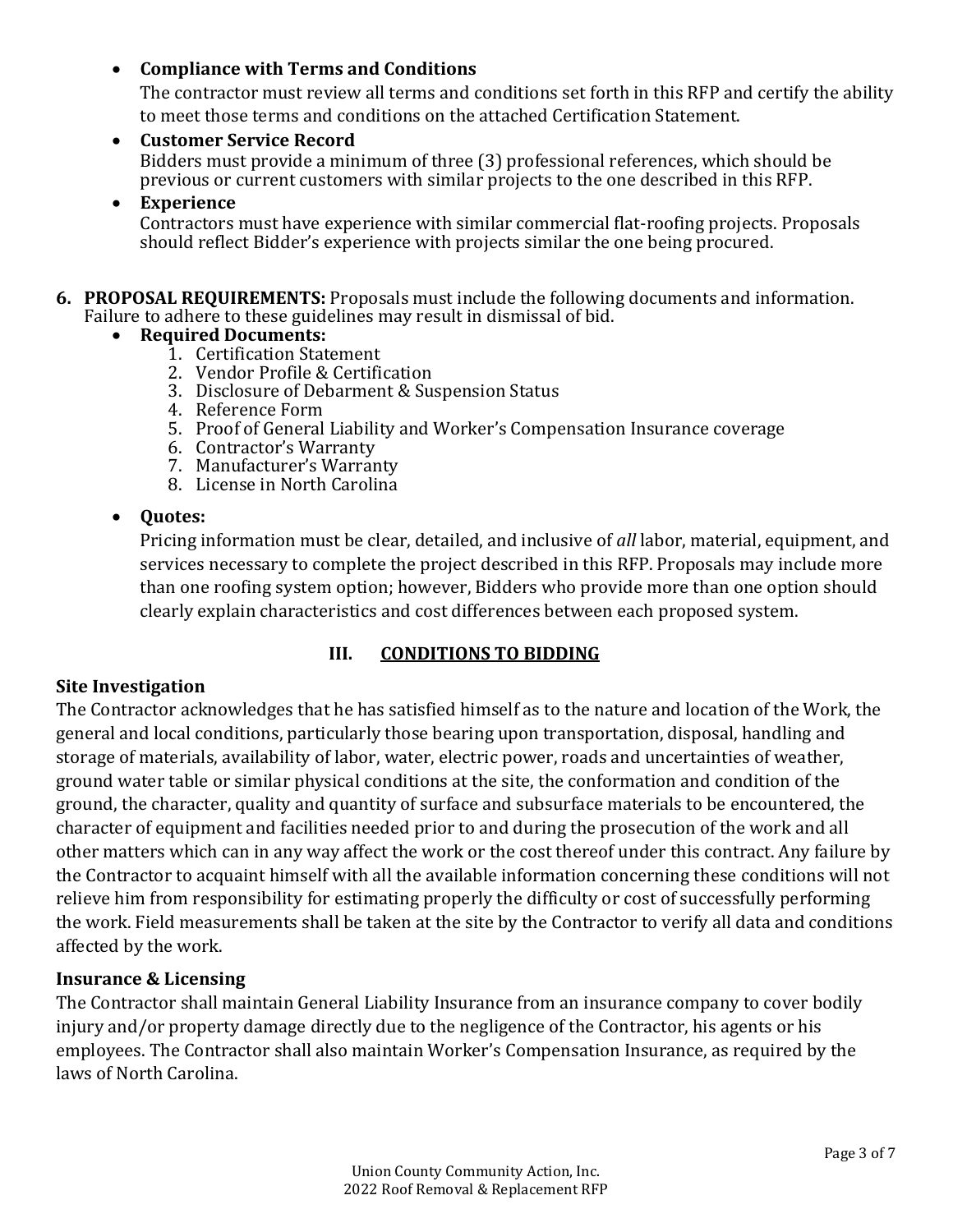### • **Compliance with Terms and Conditions**

The contractor must review all terms and conditions set forth in this RFP and certify the ability to meet those terms and conditions on the attached Certification Statement.

• **Customer Service Record** Bidders must provide a minimum of three (3) professional references, which should be previous or current customers with similar projects to the one described in this RFP.

#### • **Experience**

Contractors must have experience with similar commercial flat-roofing projects. Proposals should reflect Bidder's experience with projects similar the one being procured.

**6. PROPOSAL REQUIREMENTS:** Proposals must include the following documents and information. Failure to adhere to these guidelines may result in dismissal of bid.

#### • **Required Documents:**

- 1. Certification Statement
- 2. Vendor Profile & Certification
- 3. Disclosure of Debarment & Suspension Status
- 4. Reference Form
- 5. Proof of General Liability and Worker's Compensation Insurance coverage
- 6. Contractor's Warranty
- 7. Manufacturer's Warranty
- 8. License in North Carolina

#### • **Quotes:**

Pricing information must be clear, detailed, and inclusive of *all* labor, material, equipment, and services necessary to complete the project described in this RFP. Proposals may include more than one roofing system option; however, Bidders who provide more than one option should clearly explain characteristics and cost differences between each proposed system.

### **III. CONDITIONS TO BIDDING**

#### **Site Investigation**

The Contractor acknowledges that he has satisfied himself as to the nature and location of the Work, the general and local conditions, particularly those bearing upon transportation, disposal, handling and storage of materials, availability of labor, water, electric power, roads and uncertainties of weather, ground water table or similar physical conditions at the site, the conformation and condition of the ground, the character, quality and quantity of surface and subsurface materials to be encountered, the character of equipment and facilities needed prior to and during the prosecution of the work and all other matters which can in any way affect the work or the cost thereof under this contract. Any failure by the Contractor to acquaint himself with all the available information concerning these conditions will not relieve him from responsibility for estimating properly the difficulty or cost of successfully performing the work. Field measurements shall be taken at the site by the Contractor to verify all data and conditions affected by the work.

#### **Insurance & Licensing**

The Contractor shall maintain General Liability Insurance from an insurance company to cover bodily injury and/or property damage directly due to the negligence of the Contractor, his agents or his employees. The Contractor shall also maintain Worker's Compensation Insurance, as required by the laws of North Carolina.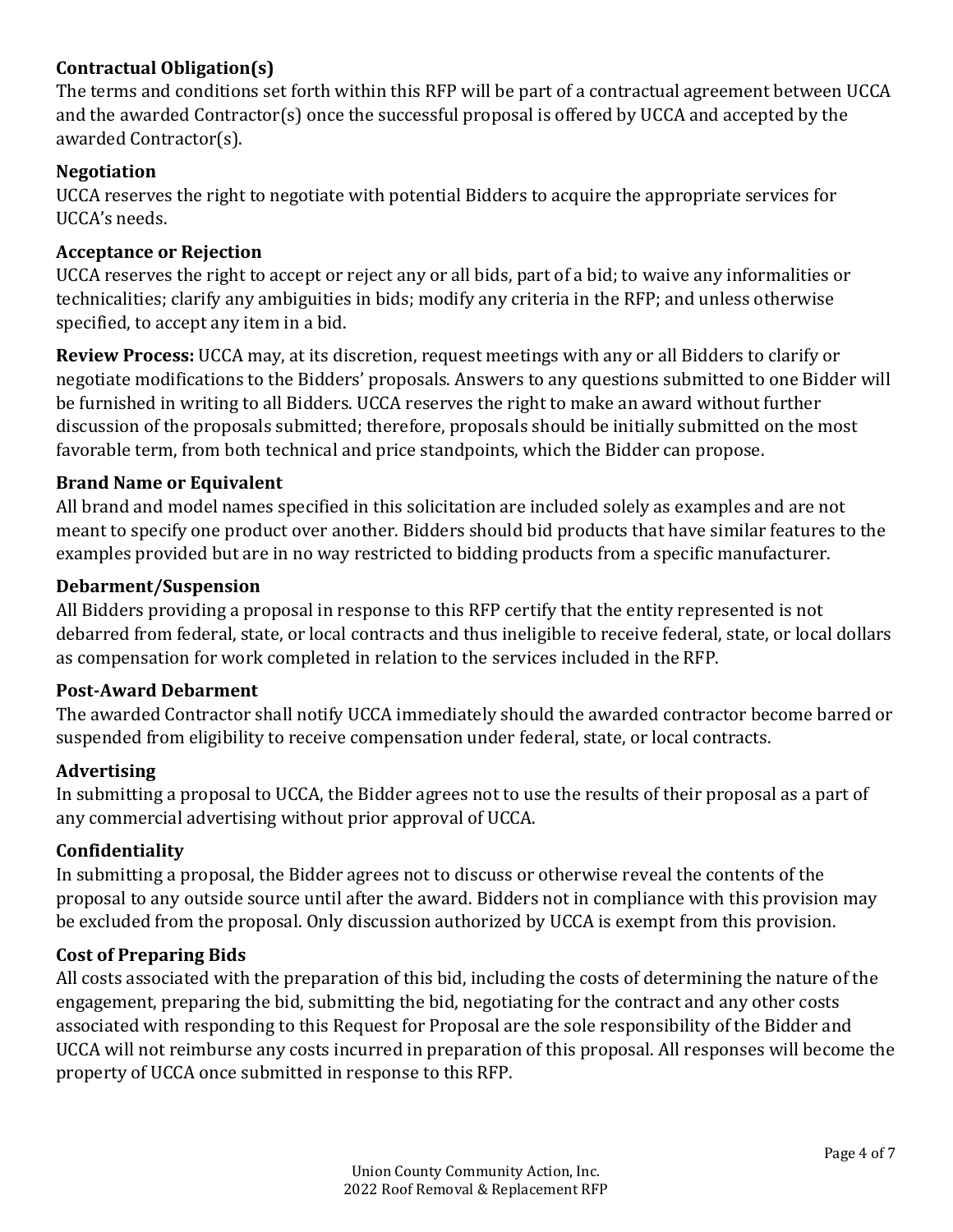## **Contractual Obligation(s)**

The terms and conditions set forth within this RFP will be part of a contractual agreement between UCCA and the awarded Contractor(s) once the successful proposal is offered by UCCA and accepted by the awarded Contractor(s).

### **Negotiation**

UCCA reserves the right to negotiate with potential Bidders to acquire the appropriate services for UCCA's needs.

### **Acceptance or Rejection**

UCCA reserves the right to accept or reject any or all bids, part of a bid; to waive any informalities or technicalities; clarify any ambiguities in bids; modify any criteria in the RFP; and unless otherwise specified, to accept any item in a bid.

**Review Process:** UCCA may, at its discretion, request meetings with any or all Bidders to clarify or negotiate modifications to the Bidders' proposals. Answers to any questions submitted to one Bidder will be furnished in writing to all Bidders. UCCA reserves the right to make an award without further discussion of the proposals submitted; therefore, proposals should be initially submitted on the most favorable term, from both technical and price standpoints, which the Bidder can propose.

#### **Brand Name or Equivalent**

All brand and model names specified in this solicitation are included solely as examples and are not meant to specify one product over another. Bidders should bid products that have similar features to the examples provided but are in no way restricted to bidding products from a specific manufacturer.

#### **Debarment/Suspension**

All Bidders providing a proposal in response to this RFP certify that the entity represented is not debarred from federal, state, or local contracts and thus ineligible to receive federal, state, or local dollars as compensation for work completed in relation to the services included in the RFP.

#### **Post-Award Debarment**

The awarded Contractor shall notify UCCA immediately should the awarded contractor become barred or suspended from eligibility to receive compensation under federal, state, or local contracts.

### **Advertising**

In submitting a proposal to UCCA, the Bidder agrees not to use the results of their proposal as a part of any commercial advertising without prior approval of UCCA.

#### **Confidentiality**

In submitting a proposal, the Bidder agrees not to discuss or otherwise reveal the contents of the proposal to any outside source until after the award. Bidders not in compliance with this provision may be excluded from the proposal. Only discussion authorized by UCCA is exempt from this provision.

#### **Cost of Preparing Bids**

All costs associated with the preparation of this bid, including the costs of determining the nature of the engagement, preparing the bid, submitting the bid, negotiating for the contract and any other costs associated with responding to this Request for Proposal are the sole responsibility of the Bidder and UCCA will not reimburse any costs incurred in preparation of this proposal. All responses will become the property of UCCA once submitted in response to this RFP.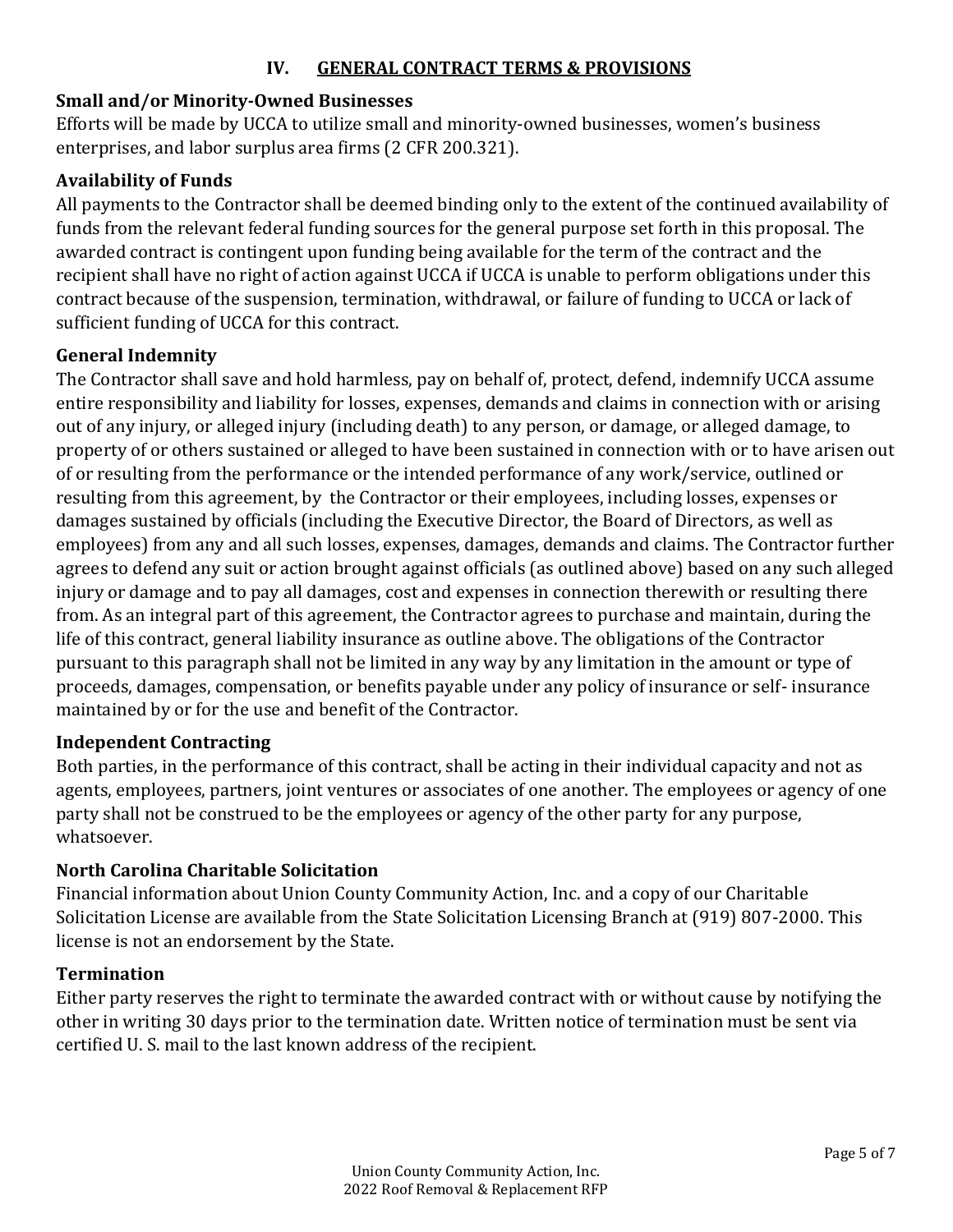### **IV. GENERAL CONTRACT TERMS & PROVISIONS**

### **Small and/or Minority-Owned Businesses**

Efforts will be made by UCCA to utilize small and minority-owned businesses, women's business enterprises, and labor surplus area firms (2 CFR 200.321).

#### **Availability of Funds**

All payments to the Contractor shall be deemed binding only to the extent of the continued availability of funds from the relevant federal funding sources for the general purpose set forth in this proposal. The awarded contract is contingent upon funding being available for the term of the contract and the recipient shall have no right of action against UCCA if UCCA is unable to perform obligations under this contract because of the suspension, termination, withdrawal, or failure of funding to UCCA or lack of sufficient funding of UCCA for this contract.

#### **General Indemnity**

The Contractor shall save and hold harmless, pay on behalf of, protect, defend, indemnify UCCA assume entire responsibility and liability for losses, expenses, demands and claims in connection with or arising out of any injury, or alleged injury (including death) to any person, or damage, or alleged damage, to property of or others sustained or alleged to have been sustained in connection with or to have arisen out of or resulting from the performance or the intended performance of any work/service, outlined or resulting from this agreement, by the Contractor or their employees, including losses, expenses or damages sustained by officials (including the Executive Director, the Board of Directors, as well as employees) from any and all such losses, expenses, damages, demands and claims. The Contractor further agrees to defend any suit or action brought against officials (as outlined above) based on any such alleged injury or damage and to pay all damages, cost and expenses in connection therewith or resulting there from. As an integral part of this agreement, the Contractor agrees to purchase and maintain, during the life of this contract, general liability insurance as outline above. The obligations of the Contractor pursuant to this paragraph shall not be limited in any way by any limitation in the amount or type of proceeds, damages, compensation, or benefits payable under any policy of insurance or self- insurance maintained by or for the use and benefit of the Contractor.

#### **Independent Contracting**

Both parties, in the performance of this contract, shall be acting in their individual capacity and not as agents, employees, partners, joint ventures or associates of one another. The employees or agency of one party shall not be construed to be the employees or agency of the other party for any purpose, whatsoever.

#### **North Carolina Charitable Solicitation**

Financial information about Union County Community Action, Inc. and a copy of our Charitable Solicitation License are available from the State Solicitation Licensing Branch at (919) 807-2000. This license is not an endorsement by the State.

#### **Termination**

Either party reserves the right to terminate the awarded contract with or without cause by notifying the other in writing 30 days prior to the termination date. Written notice of termination must be sent via certified U. S. mail to the last known address of the recipient.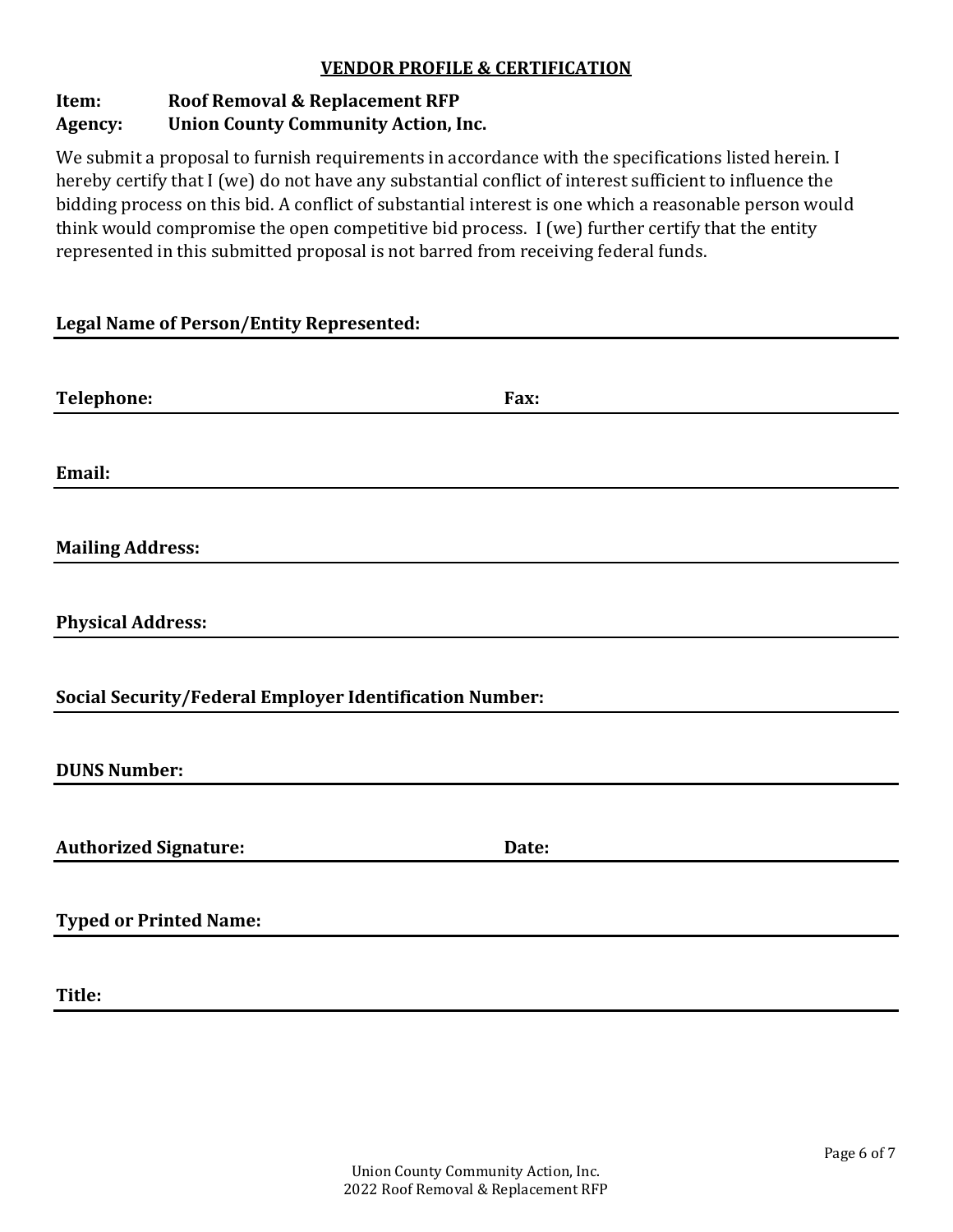#### **VENDOR PROFILE & CERTIFICATION**

# **Item: Roof Removal & Replacement RFP**

### **Agency: Union County Community Action, Inc.**

We submit a proposal to furnish requirements in accordance with the specifications listed herein. I hereby certify that I (we) do not have any substantial conflict of interest sufficient to influence the bidding process on this bid. A conflict of substantial interest is one which a reasonable person would think would compromise the open competitive bid process. I (we) further certify that the entity represented in this submitted proposal is not barred from receiving federal funds.

#### **Legal Name of Person/Entity Represented:**

| Telephone:                                              | Fax:  |  |
|---------------------------------------------------------|-------|--|
|                                                         |       |  |
| Email:                                                  |       |  |
| <b>Mailing Address:</b>                                 |       |  |
| <b>Physical Address:</b>                                |       |  |
| Social Security/Federal Employer Identification Number: |       |  |
| <b>DUNS Number:</b>                                     |       |  |
|                                                         |       |  |
| <b>Authorized Signature:</b>                            | Date: |  |
| <b>Typed or Printed Name:</b>                           |       |  |
| Title:                                                  |       |  |